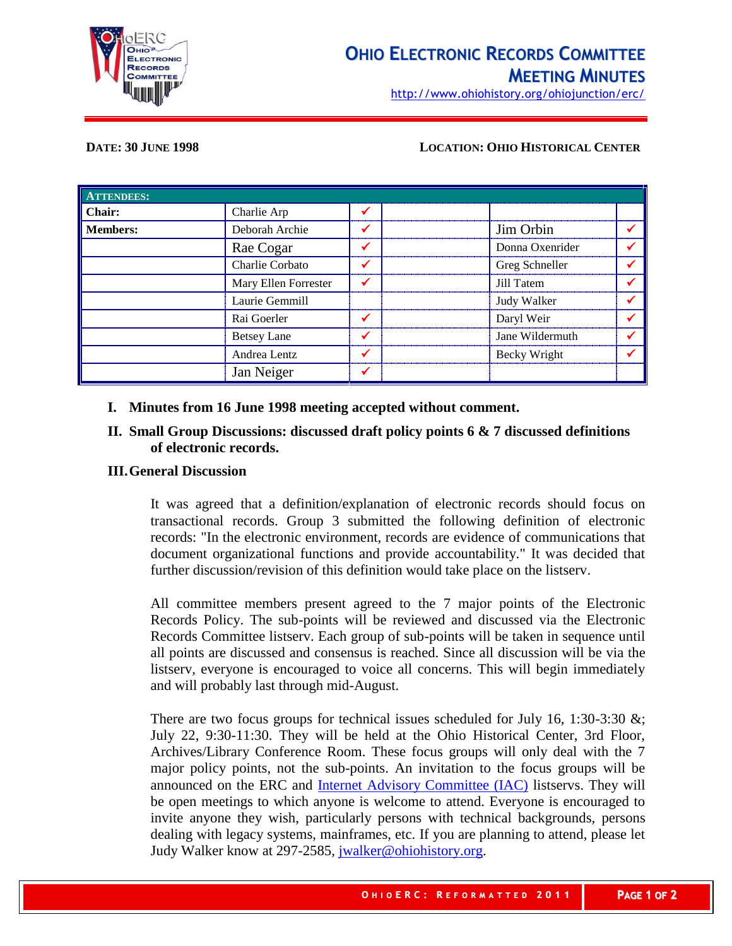

http://www.ohiohistory.org/ohiojunction/erc/

### **DATE: 30 JUNE 1998 LOCATION: OHIO HISTORICAL CENTER**

| <b>ATTENDEES:</b> |                      |  |                 |  |
|-------------------|----------------------|--|-----------------|--|
| Chair:            | Charlie Arp          |  |                 |  |
| <b>Members:</b>   | Deborah Archie       |  | Jim Orbin       |  |
|                   | Rae Cogar            |  | Donna Oxenrider |  |
|                   | Charlie Corbato      |  | Greg Schneller  |  |
|                   | Mary Ellen Forrester |  | Jill Tatem      |  |
|                   | Laurie Gemmill       |  | Judy Walker     |  |
|                   | Rai Goerler          |  | Daryl Weir      |  |
|                   | <b>Betsey Lane</b>   |  | Jane Wildermuth |  |
|                   | Andrea Lentz         |  | Becky Wright    |  |
|                   | Jan Neiger           |  |                 |  |

## **I. Minutes from 16 June 1998 meeting accepted without comment.**

# **II. Small Group Discussions: discussed draft policy points 6 & 7 discussed definitions of electronic records.**

### **III.General Discussion**

It was agreed that a definition/explanation of electronic records should focus on transactional records. Group 3 submitted the following definition of electronic records: "In the electronic environment, records are evidence of communications that document organizational functions and provide accountability." It was decided that further discussion/revision of this definition would take place on the listserv.

All committee members present agreed to the 7 major points of the Electronic Records Policy. The sub-points will be reviewed and discussed via the Electronic Records Committee listserv. Each group of sub-points will be taken in sequence until all points are discussed and consensus is reached. Since all discussion will be via the listserv, everyone is encouraged to voice all concerns. This will begin immediately and will probably last through mid-August.

There are two focus groups for technical issues scheduled for July 16, 1:30-3:30  $\&$ ; July 22, 9:30-11:30. They will be held at the Ohio Historical Center, 3rd Floor, Archives/Library Conference Room. These focus groups will only deal with the 7 major policy points, not the sub-points. An invitation to the focus groups will be announced on the ERC and [Internet Advisory Committee \(IAC\)](http://www.state.oh.us/iac/) listservs. They will be open meetings to which anyone is welcome to attend. Everyone is encouraged to invite anyone they wish, particularly persons with technical backgrounds, persons dealing with legacy systems, mainframes, etc. If you are planning to attend, please let Judy Walker know at 297-2585, [jwalker@ohiohistory.org.](mailto:jwalker@ohiohistory.org)